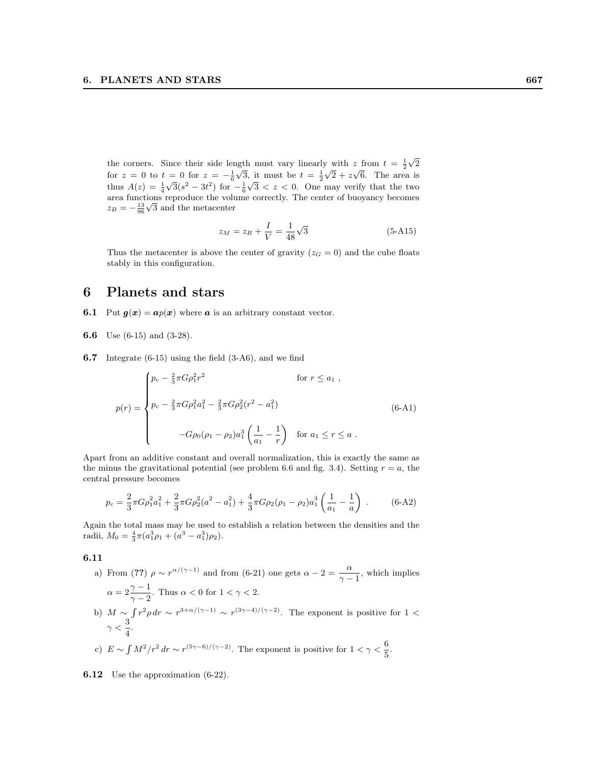the corners. Since their side length must vary linearly with z from  $t = \frac{1}{2}$ where  $\lim_{\epsilon \to 0} \frac{1}{\epsilon}$  with  $z \text{ from } t = \frac{1}{2}\sqrt{2}$ for  $z = 0$  to  $t = 0$  for  $z = -\frac{1}{6}\sqrt{3}$ , it must be  $t = \frac{1}{2}\sqrt{2} + z\sqrt{6}$ . The area is thus  $A(z) = \frac{1}{4}\sqrt{3}(s^2 - 3t^2)$  for  $-\frac{1}{6}\sqrt{3} < z < 0$ . One may verify that the two area functions reproduce the volume correctly. The center of buoyancy becomes  $z_B = -\frac{13}{96}\sqrt{3}$  and the metacenter

$$
z_M = z_B + \frac{I}{V} = \frac{1}{48}\sqrt{3}
$$
 (5-A15)

Thus the metacenter is above the center of gravity ( $z_G = 0$ ) and the cube floats stably in this configuration.

## 6 Planets and stars

- **6.1** Put  $g(x) = ap(x)$  where a is an arbitrary constant vector.
- 6.6 Use (6-15) and (3-28).
- 6.7 Integrate (6-15) using the field (3-A6), and we find

$$
p(r) = \begin{cases} p_c - \frac{2}{3}\pi G\rho_1^2 r^2 & \text{for } r \le a_1 ,\\ p_c - \frac{2}{3}\pi G\rho_1^2 a_1^2 - \frac{2}{3}\pi G\rho_2^2 (r^2 - a_1^2) & \text{(6-A1)}\\ -G\rho_0(\rho_1 - \rho_2)a_1^3 \left(\frac{1}{a_1} - \frac{1}{r}\right) & \text{for } a_1 \le r \le a . \end{cases}
$$

Apart from an additive constant and overall normalization, this is exactly the same as the minus the gravitational potential (see problem 6.6 and fig. 3.4). Setting  $r = a$ , the central pressure becomes

$$
p_c = \frac{2}{3}\pi G\rho_1^2 a_1^2 + \frac{2}{3}\pi G\rho_2^2 (a^2 - a_1^2) + \frac{4}{3}\pi G\rho_2 (\rho_1 - \rho_2) a_1^3 \left(\frac{1}{a_1} - \frac{1}{a}\right) \,. \tag{6-A2}
$$

Again the total mass may be used to establish a relation between the densities and the radii,  $M_0 = \frac{4}{3}\pi (a_1^3 \rho_1 + (a_3^3 - a_1^3)\rho_2).$ 

## 6.11

a) From (??)  $\rho \sim r^{\alpha/(\gamma-1)}$  and from (6-21) one gets  $\alpha - 2 = \frac{\alpha}{\gamma - 1}$ , which implies  $\alpha = 2\frac{\gamma - 1}{\gamma}$ . Thus  $\alpha < 0$  for  $1 < \gamma < 2$ .  $\gamma - 2$ b)  $M \sim \int r^2 \rho dr \sim r^{3+\alpha/(\gamma-1)} \sim r^{(3\gamma-4)/(\gamma-2)}$ . The exponent is positive for 1 <  $\gamma < \frac{3}{4}$  $\frac{5}{4}$ . c)  $E \sim \int M^2/r^2 dr \sim r^{(5\gamma - 6)/(\gamma - 2)}$ . The exponent is positive for  $1 < \gamma < \frac{6}{r}$  $\frac{6}{5}$ .

**6.12** Use the approximation (6-22).